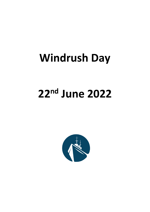## **Windrush Day**

# **22nd June 2022**

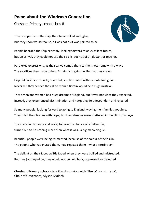### **Poem about the Windrush Generation**

Chesham Primary school class 8

They stepped onto the ship, their hearts filled with glee, But they soon would realise, all was not as it was painted to be.



People boarded the ship excitedly, looking forward to an excellent future, but on arrival, they could not use their skills, such as pilot, doctor, or teacher.

Perplexed expressions, as the sea welcomed them to their new home with a wave The sacrifices they made to help Britain, and gain the life that they craved

Hopeful Caribbean hearts, beautiful people treated with overwhelming hate. Never did they believe the call to rebuild Britain would be a huge mistake.

These men and women had huge dreams of England, but it was not what they expected. Instead, they experienced discrimination and hate; they felt despondent and rejected

So many people, looking forward to going to England, waving their families goodbye. They'd left their homes with hope, but their dreams were shattered in the blink of an eye

The invitation to come and work, to have the chance of a better life, turned out to be nothing more than what it was - a big marketing lie.

Beautiful people were being tormented, because of the colour of their skin. The people who had invited them, now rejected them - what a terrible sin!

The delight on their faces swiftly faded when they were bullied and mistreated. But they journeyed on, they would not be held back, oppressed, or defeated

Chesham Primary school class 8 in discussion with 'The Windrush Lady', Chair of Governors, Alyson Malach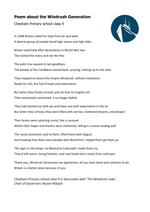### **Poem about the Windrush Generation**

Chesham Primary school class 9

In 1948 Britain called for help from far and wide A diverse group of people faced high waves and high tides

Britain need help after devastation in World War two The invited the many and not the few

The palm tree waved its last goodbyes The people of the Caribbean waved back, praying, looking up to the skies

They hopped on board the Empire Windrush, without hesitation, Ready for toil, but full of hope and expectation

But when they finally arrived, and set foot on English soil Their excitement simmered, it no longer boiled

They had started out with joy and hope and with expectation in the air But when they arrived, they were filled with sorrow, shattered dreams, and despair

Their brains were spinning round, like a carousel Whilst their hopes and dreams were shattered, falling in a never-ending well

The racial comments said to them, filled them with disgust but knowing that there were people who liked them, helped them get back up

The signs in the shops 'no Blacks/no Coloureds' made them cry They'd left warm, loving families, and now faced stern stares from cold eyes

Thank you, Windrush Generation we appreciate, all you have done and continue to do Britain is a better place because of you

Chesham Primary school class 9 in discussion with 'The Windrush Lady' Chair of Governors Alyson Malach